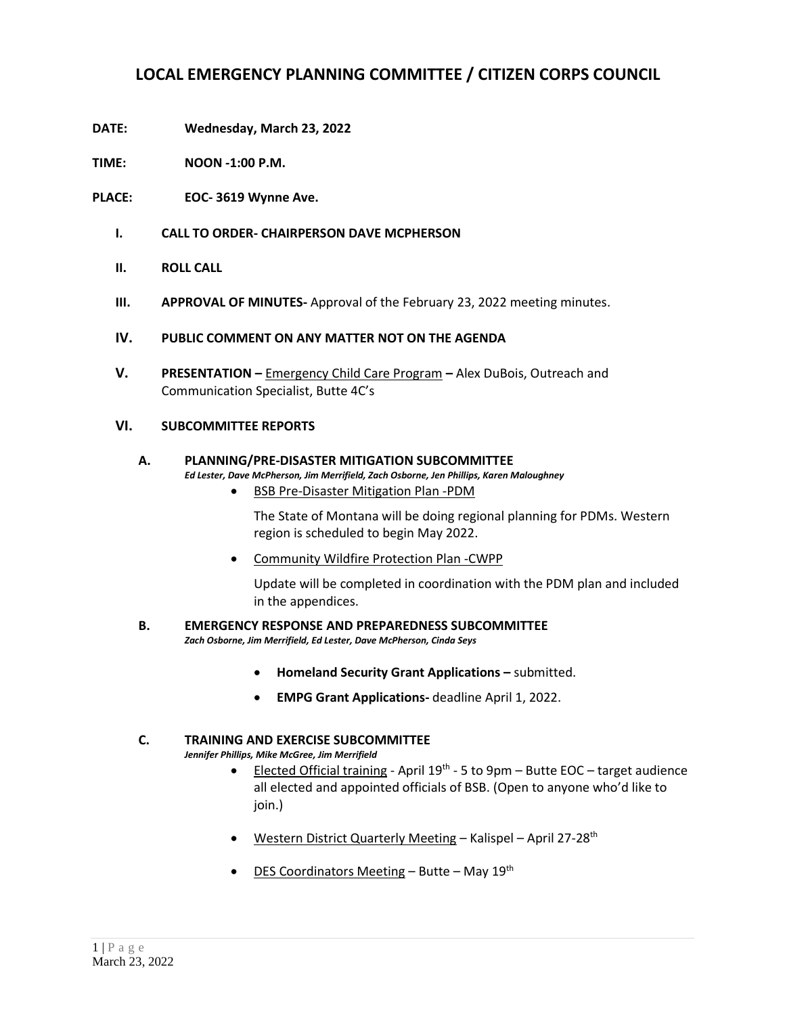## **LOCAL EMERGENCY PLANNING COMMITTEE / CITIZEN CORPS COUNCIL**

- **DATE: Wednesday, March 23, 2022**
- **TIME: NOON -1:00 P.M.**
- **PLACE: EOC- 3619 Wynne Ave.**
	- **I. CALL TO ORDER- CHAIRPERSON DAVE MCPHERSON**
	- **II. ROLL CALL**
	- **III. APPROVAL OF MINUTES-** Approval of the February 23, 2022 meeting minutes.

### **IV. PUBLIC COMMENT ON ANY MATTER NOT ON THE AGENDA**

**V. PRESENTATION –** Emergency Child Care Program **–** Alex DuBois, Outreach and Communication Specialist, Butte 4C's

## **VI. SUBCOMMITTEE REPORTS**

# **A. PLANNING/PRE-DISASTER MITIGATION SUBCOMMITTEE**

*Ed Lester, Dave McPherson, Jim Merrifield, Zach Osborne, Jen Phillips, Karen Maloughney*

• BSB Pre-Disaster Mitigation Plan -PDM

The State of Montana will be doing regional planning for PDMs. Western region is scheduled to begin May 2022.

• Community Wildfire Protection Plan -CWPP

Update will be completed in coordination with the PDM plan and included in the appendices.

## **B. EMERGENCY RESPONSE AND PREPAREDNESS SUBCOMMITTEE**

*Zach Osborne, Jim Merrifield, Ed Lester, Dave McPherson, Cinda Seys*

- **Homeland Security Grant Applications –** submitted.
- **EMPG Grant Applications-** deadline April 1, 2022.

#### **C. TRAINING AND EXERCISE SUBCOMMITTEE**

*Jennifer Phillips, Mike McGree, Jim Merrifield*

- Elected Official training April 19<sup>th</sup> 5 to 9pm Butte EOC target audience all elected and appointed officials of BSB. (Open to anyone who'd like to join.)
- Western District Quarterly Meeting Kalispel April 27-28<sup>th</sup>
- DES Coordinators Meeting Butte May  $19^{th}$